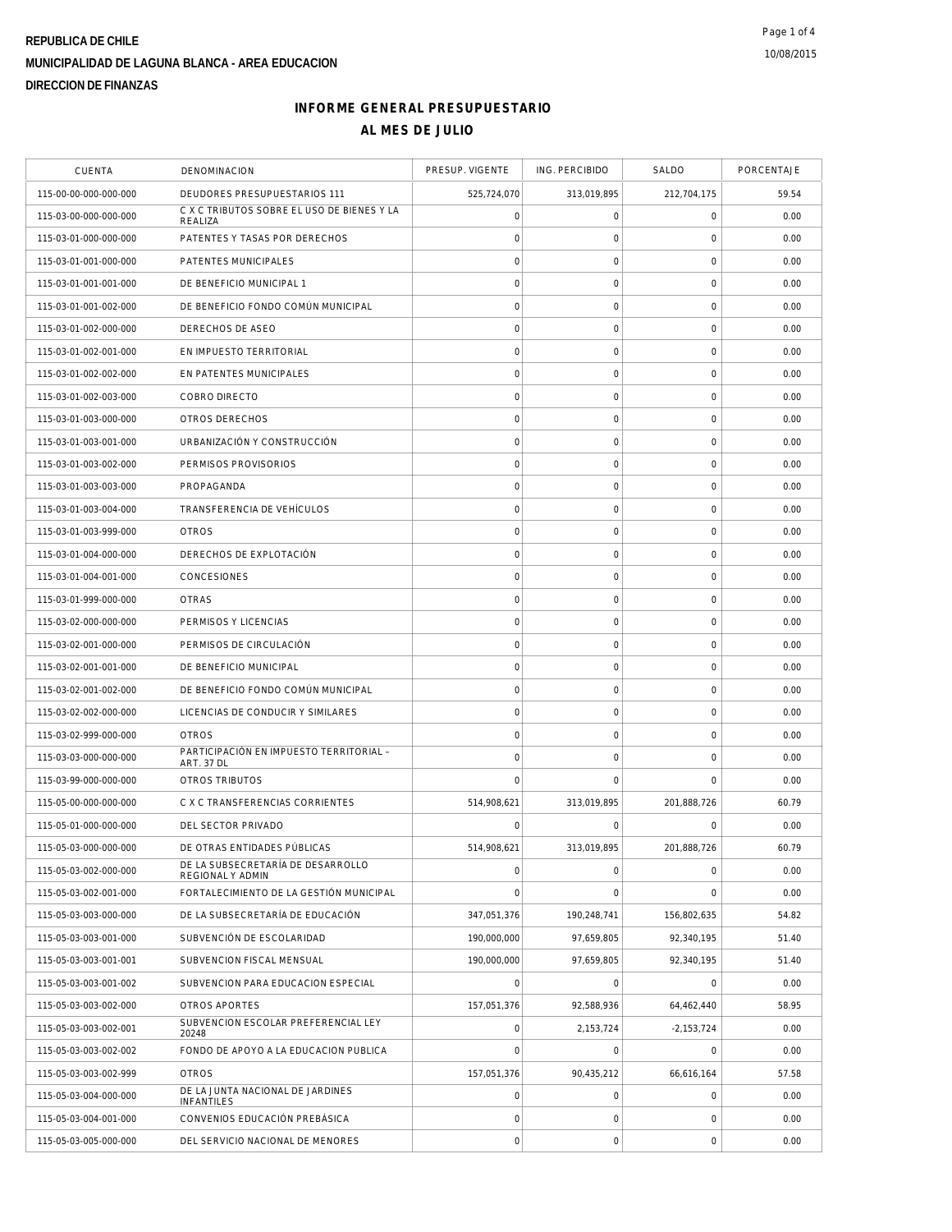# **REPUBLICA DE CHILE MUNICIPALIDAD DE LAGUNA BLANCA - AREA EDUCACION DIRECCION DE FINANZAS**

# **INFORME GENERAL PRESUPUESTARIO AL MES DE JULIO**

| <b>CUENTA</b>         | DENOMINACION                                          | PRESUP. VIGENTE     | ING. PERCIBIDO      | SALDO               | PORCENTAJE |
|-----------------------|-------------------------------------------------------|---------------------|---------------------|---------------------|------------|
| 115-00-00-000-000-000 | DEUDORES PRESUPUESTARIOS 111                          | 525,724,070         | 313,019,895         | 212,704,175         | 59.54      |
| 115-03-00-000-000-000 | C X C TRIBUTOS SOBRE EL USO DE BIENES Y LA<br>REALIZA | 0                   | 0                   | $\mathsf{O}\xspace$ | 0.00       |
| 115-03-01-000-000-000 | PATENTES Y TASAS POR DERECHOS                         | $\mathbf 0$         | 0                   | 0                   | 0.00       |
| 115-03-01-001-000-000 | PATENTES MUNICIPALES                                  | $\mathsf{O}\xspace$ | $\mathbf 0$         | $\mathsf{O}\xspace$ | 0.00       |
| 115-03-01-001-001-000 | DE BENEFICIO MUNICIPAL 1                              | $\mathbf 0$         | 0                   | $\mathsf{O}\xspace$ | 0.00       |
| 115-03-01-001-002-000 | DE BENEFICIO FONDO COMÚN MUNICIPAL                    | $\mathsf{O}\xspace$ | $\mathbf 0$         | $\mathbf 0$         | 0.00       |
| 115-03-01-002-000-000 | DERECHOS DE ASEO                                      | $\mathbf 0$         | 0                   | $\mathsf{O}\xspace$ | 0.00       |
| 115-03-01-002-001-000 | EN IMPUESTO TERRITORIAL                               | $\mathsf{O}\xspace$ | $\mathbf 0$         | $\mathsf{O}\xspace$ | 0.00       |
| 115-03-01-002-002-000 | EN PATENTES MUNICIPALES                               | $\mathsf{O}\xspace$ | $\mathsf{O}\xspace$ | 0                   | 0.00       |
| 115-03-01-002-003-000 | COBRO DIRECTO                                         | $\mathbf 0$         | 0                   | 0                   | 0.00       |
| 115-03-01-003-000-000 | OTROS DERECHOS                                        | $\mathsf{O}\xspace$ | 0                   | $\mathsf{O}\xspace$ | 0.00       |
| 115-03-01-003-001-000 | URBANIZACIÓN Y CONSTRUCCIÓN                           | $\mathbf 0$         | 0                   | 0                   | 0.00       |
| 115-03-01-003-002-000 | PERMISOS PROVISORIOS                                  | $\mathsf{O}\xspace$ | $\mathbf 0$         | $\mathsf{O}\xspace$ | 0.00       |
| 115-03-01-003-003-000 | PROPAGANDA                                            | $\mathsf{O}\xspace$ | $\mathsf{O}\xspace$ | $\mathsf{O}\xspace$ | 0.00       |
| 115-03-01-003-004-000 | TRANSFERENCIA DE VEHÍCULOS                            | $\mathbf 0$         | 0                   | 0                   | 0.00       |
| 115-03-01-003-999-000 | <b>OTROS</b>                                          | $\mathsf{O}\xspace$ | $\mathsf{O}\xspace$ | $\mathsf 0$         | 0.00       |
| 115-03-01-004-000-000 | DERECHOS DE EXPLOTACIÓN                               | $\mathbf 0$         | 0                   | 0                   | 0.00       |
| 115-03-01-004-001-000 | CONCESIONES                                           | $\mathsf{O}\xspace$ | 0                   | $\mathsf{O}\xspace$ | 0.00       |
| 115-03-01-999-000-000 | <b>OTRAS</b>                                          | $\mathbf 0$         | 0                   | $\mathsf 0$         | 0.00       |
| 115-03-02-000-000-000 | PERMISOS Y LICENCIAS                                  | $\mathsf{O}\xspace$ | $\mathbf 0$         | $\mathsf{O}\xspace$ | 0.00       |
| 115-03-02-001-000-000 | PERMISOS DE CIRCULACIÓN                               | $\mathsf{O}\xspace$ | $\mathsf{O}\xspace$ | 0                   | 0.00       |
| 115-03-02-001-001-000 | DE BENEFICIO MUNICIPAL                                | $\mathbf 0$         | 0                   | $\mathsf{O}\xspace$ | 0.00       |
| 115-03-02-001-002-000 | DE BENEFICIO FONDO COMÚN MUNICIPAL                    | $\mathbf 0$         | 0                   | 0                   | 0.00       |
| 115-03-02-002-000-000 | LICENCIAS DE CONDUCIR Y SIMILARES                     | $\mathbf 0$         | $\mathsf{O}\xspace$ | 0                   | 0.00       |
| 115-03-02-999-000-000 | <b>OTROS</b>                                          | $\mathsf{O}\xspace$ | $\mathbf 0$         | $\mathsf{O}\xspace$ | 0.00       |
| 115-03-03-000-000-000 | PARTICIPACIÓN EN IMPUESTO TERRITORIAL -<br>ART. 37 DL | $\mathsf{O}\xspace$ | 0                   | $\mathsf{O}\xspace$ | 0.00       |
| 115-03-99-000-000-000 | OTROS TRIBUTOS                                        | $\mathbf 0$         | 0                   | 0                   | 0.00       |
| 115-05-00-000-000-000 | C X C TRANSFERENCIAS CORRIENTES                       | 514,908,621         | 313,019,895         | 201,888,726         | 60.79      |
| 115-05-01-000-000-000 | DEL SECTOR PRIVADO                                    | $\Omega$            | $\Omega$            | $\Omega$            | 0.00       |
| 115-05-03-000-000-000 | DE OTRAS ENTIDADES PÚBLICAS                           | 514,908,621         | 313,019,895         | 201,888,726         | 60.79      |
| 115-05-03-002-000-000 | DE LA SUBSECRETARÍA DE DESARROLLO<br>REGIONAL Y ADMIN | $\mathbf 0$         | 0                   | 0                   | 0.00       |
| 115-05-03-002-001-000 | FORTALECIMIENTO DE LA GESTIÓN MUNICIPAL               | $\mathbf 0$         | $\mathbf 0$         | $\mathbf 0$         | 0.00       |
| 115-05-03-003-000-000 | DE LA SUBSECRETARÍA DE EDUCACIÓN                      | 347,051,376         | 190,248,741         | 156,802,635         | 54.82      |
| 115-05-03-003-001-000 | SUBVENCIÓN DE ESCOLARIDAD                             | 190,000,000         | 97,659,805          | 92,340,195          | 51.40      |
| 115-05-03-003-001-001 | SUBVENCION FISCAL MENSUAL                             | 190,000,000         | 97,659,805          | 92,340,195          | 51.40      |
| 115-05-03-003-001-002 | SUBVENCION PARA EDUCACION ESPECIAL                    | $\overline{0}$      | $\circ$             | $\Omega$            | 0.00       |
| 115-05-03-003-002-000 | OTROS APORTES                                         | 157,051,376         | 92,588,936          | 64,462,440          | 58.95      |
| 115-05-03-003-002-001 | SUBVENCION ESCOLAR PREFERENCIAL LEY<br>20248          | $\mathsf{O}\xspace$ | 2,153,724           | $-2,153,724$        | 0.00       |
| 115-05-03-003-002-002 | FONDO DE APOYO A LA EDUCACION PUBLICA                 | $\mathsf{O}\xspace$ | 0                   | 0                   | 0.00       |
| 115-05-03-003-002-999 | <b>OTROS</b>                                          | 157,051,376         | 90,435,212          | 66,616,164          | 57.58      |
| 115-05-03-004-000-000 | DE LA JUNTA NACIONAL DE JARDINES<br><b>INFANTILES</b> | $\mathsf{O}\xspace$ | 0                   | 0                   | 0.00       |
| 115-05-03-004-001-000 | CONVENIOS EDUCACIÓN PREBÁSICA                         | $\mathsf{O}\xspace$ | 0                   | 0                   | 0.00       |
| 115-05-03-005-000-000 | DEL SERVICIO NACIONAL DE MENORES                      | $\mathbf 0$         | $\mathsf{O}\xspace$ | 0                   | 0.00       |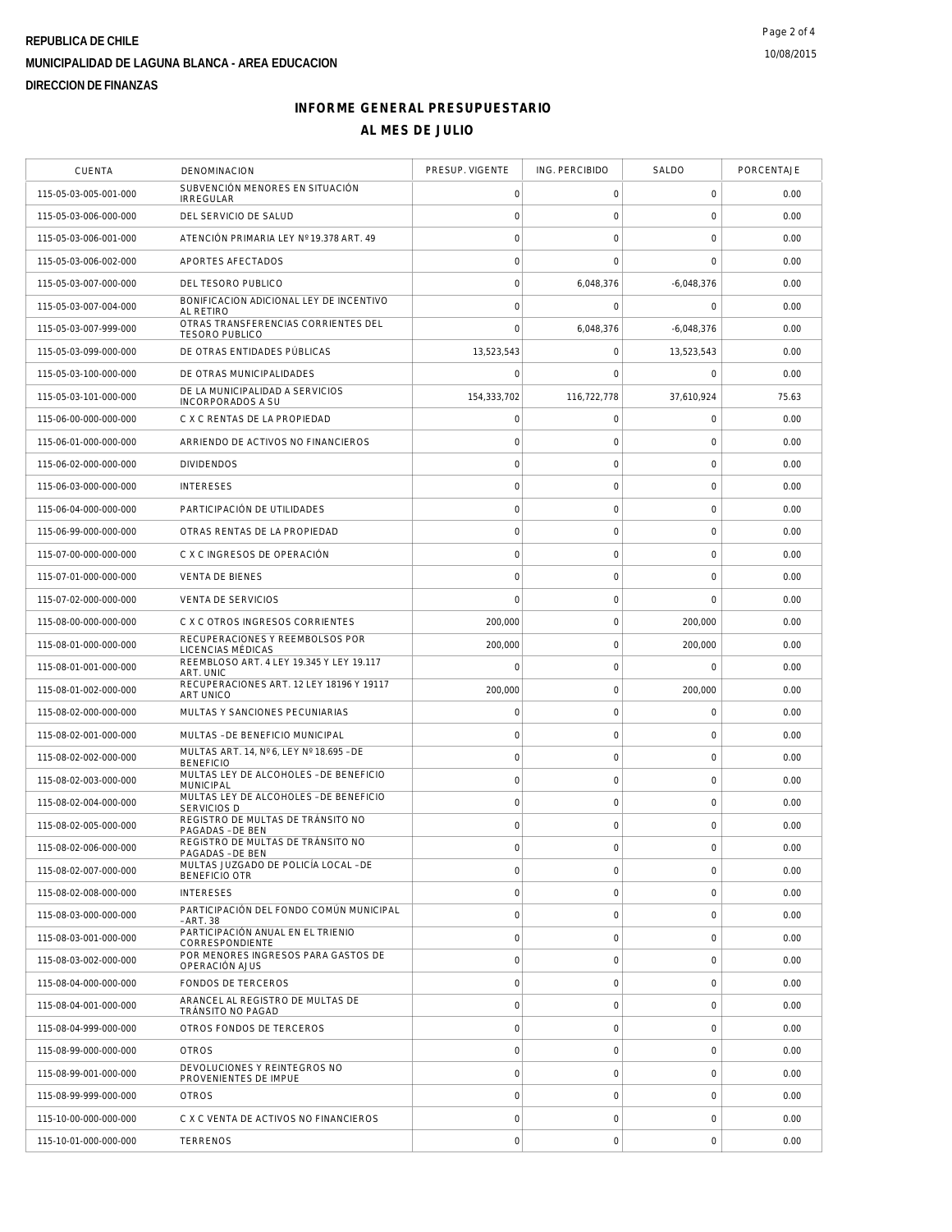# **REPUBLICA DE CHILE MUNICIPALIDAD DE LAGUNA BLANCA - AREA EDUCACION DIRECCION DE FINANZAS**

# **INFORME GENERAL PRESUPUESTARIO AL MES DE JULIO**

| <b>CUENTA</b>         | DENOMINACION                                                 | PRESUP. VIGENTE     | ING. PERCIBIDO      | SALDO               | PORCENTAJE |
|-----------------------|--------------------------------------------------------------|---------------------|---------------------|---------------------|------------|
| 115-05-03-005-001-000 | SUBVENCIÓN MENORES EN SITUACIÓN<br><b>IRREGULAR</b>          | 0                   | 0                   | 0                   | 0.00       |
| 115-05-03-006-000-000 | DEL SERVICIO DE SALUD                                        | $\mathbf 0$         | $\mathsf{O}\xspace$ | $\mathbf 0$         | 0.00       |
| 115-05-03-006-001-000 | ATENCIÓN PRIMARIA LEY Nº 19.378 ART. 49                      | $\mathbf 0$         | $\mathbf 0$         | $\mathbf 0$         | 0.00       |
| 115-05-03-006-002-000 | APORTES AFECTADOS                                            | $\circ$             | $\mathbf 0$         | $\mathbf 0$         | 0.00       |
| 115-05-03-007-000-000 | DEL TESORO PUBLICO                                           | $\circ$             | 6,048,376           | $-6,048,376$        | 0.00       |
| 115-05-03-007-004-000 | BONIFICACION ADICIONAL LEY DE INCENTIVO<br><b>AL RETIRO</b>  | $\mathbf 0$         | $\mathbf 0$         | 0                   | 0.00       |
| 115-05-03-007-999-000 | OTRAS TRANSFERENCIAS CORRIENTES DEL<br><b>TESORO PUBLICO</b> | $\mathbf 0$         | 6,048,376           | $-6,048,376$        | 0.00       |
| 115-05-03-099-000-000 | DE OTRAS ENTIDADES PÚBLICAS                                  | 13,523,543          | $\mathsf{O}\xspace$ | 13.523.543          | 0.00       |
| 115-05-03-100-000-000 | DE OTRAS MUNICIPALIDADES                                     | $\mathbf 0$         | $\mathbf 0$         | $\mathbf 0$         | 0.00       |
| 115-05-03-101-000-000 | DE LA MUNICIPALIDAD A SERVICIOS<br>INCORPORADOS A SU         | 154,333,702         | 116,722,778         | 37,610,924          | 75.63      |
| 115-06-00-000-000-000 | C X C RENTAS DE LA PROPIEDAD                                 | $\mathbf 0$         | 0                   | $\mathbf 0$         | 0.00       |
| 115-06-01-000-000-000 | ARRIENDO DE ACTIVOS NO FINANCIEROS                           | $\circ$             | $\mathsf{O}\xspace$ | $\mathsf{O}\xspace$ | 0.00       |
| 115-06-02-000-000-000 | <b>DIVIDENDOS</b>                                            | $\circ$             | 0                   | 0                   | 0.00       |
| 115-06-03-000-000-000 | <b>INTERESES</b>                                             | $\circ$             | $\mathsf{O}\xspace$ | $\mathbf 0$         | 0.00       |
| 115-06-04-000-000-000 | PARTICIPACIÓN DE UTILIDADES                                  | $\mathbf 0$         | $\mathsf{O}\xspace$ | $\mathbf 0$         | 0.00       |
| 115-06-99-000-000-000 | OTRAS RENTAS DE LA PROPIEDAD                                 | $\circ$             | $\mathsf{O}\xspace$ | $\mathbf 0$         | 0.00       |
| 115-07-00-000-000-000 | C X C INGRESOS DE OPERACIÓN                                  | $\circ$             | $\mathsf{O}\xspace$ | $\mathbf 0$         | 0.00       |
| 115-07-01-000-000-000 | <b>VENTA DE BIENES</b>                                       | $\mathbf 0$         | $\mathsf{O}\xspace$ | $\mathbf 0$         | 0.00       |
| 115-07-02-000-000-000 | <b>VENTA DE SERVICIOS</b>                                    | $\mathbf 0$         | $\mathsf{O}\xspace$ | $\mathbf 0$         | 0.00       |
| 115-08-00-000-000-000 | C X C OTROS INGRESOS CORRIENTES                              | 200,000             | $\mathsf{O}\xspace$ | 200,000             | 0.00       |
| 115-08-01-000-000-000 | RECUPERACIONES Y REEMBOLSOS POR<br>LICENCIAS MÉDICAS         | 200,000             | $\mathsf{O}\xspace$ | 200,000             | 0.00       |
| 115-08-01-001-000-000 | REEMBLOSO ART. 4 LEY 19.345 Y LEY 19.117<br>ART. UNIC        | $\mathbf 0$         | $\mathsf{O}\xspace$ | $\Omega$            | 0.00       |
| 115-08-01-002-000-000 | RECUPERACIONES ART. 12 LEY 18196 Y 19117<br><b>ART UNICO</b> | 200,000             | $\mathsf{O}\xspace$ | 200,000             | 0.00       |
| 115-08-02-000-000-000 | MULTAS Y SANCIONES PECUNIARIAS                               | $\circ$             | $\mathsf{O}\xspace$ | $\mathbf 0$         | 0.00       |
| 115-08-02-001-000-000 | MULTAS - DE BENEFICIO MUNICIPAL                              | 0                   | 0                   | 0                   | 0.00       |
| 115-08-02-002-000-000 | MULTAS ART. 14, Nº 6, LEY Nº 18.695 - DE<br><b>BENEFICIO</b> | $\mathsf{O}\xspace$ | $\mathsf{O}\xspace$ | $\mathbf 0$         | 0.00       |
| 115-08-02-003-000-000 | MULTAS LEY DE ALCOHOLES - DE BENEFICIO<br><b>MUNICIPAL</b>   | $\mathbf 0$         | $\mathsf{O}\xspace$ | $\mathbf 0$         | 0.00       |
| 115-08-02-004-000-000 | MULTAS LEY DE ALCOHOLES - DE BENEFICIO<br><b>SERVICIOS D</b> | $\circ$             | $\mathbf 0$         | $\mathbf 0$         | 0.00       |
| 115-08-02-005-000-000 | REGISTRO DE MULTAS DE TRÁNSITO NO<br>PAGADAS - DE BEN        | $\circ$             | $\mathsf{O}\xspace$ | $\mathbf 0$         | 0.00       |
| 115-08-02-006-000-000 | REGISTRO DE MULTAS DE TRÁNSITO NO<br>PAGADAS - DE BEN        | $\mathbf 0$         | $\mathbf 0$         | $\mathbf 0$         | 0.00       |
| 115-08-02-007-000-000 | MULTAS JUZGADO DE POLICÍA LOCAL - DE<br>BENEFICIO OTR        | $\circ$             | 0                   | $\mathbf 0$         | 0.00       |
| 115-08-02-008-000-000 | <b>INTERESES</b>                                             | $\mathbf 0$         | $\mathbf 0$         | $\mathbf 0$         | 0.00       |
| 115-08-03-000-000-000 | PARTICIPACIÓN DEL FONDO COMÚN MUNICIPAL<br>- ART. 38         | $\mathbf 0$         | $\mathbf 0$         | $\mathbf 0$         | 0.00       |
| 115-08-03-001-000-000 | PARTICIPACIÓN ANUAL EN EL TRIENIO<br>CORRESPONDIENTE         | $\circ$             | $\mathbf 0$         | $\mathbf 0$         | 0.00       |
| 115-08-03-002-000-000 | POR MENORES INGRESOS PARA GASTOS DE<br>OPERACIÓN AJUS        | $\mathsf{O}\xspace$ | $\mathsf{O}\xspace$ | $\mathbf 0$         | 0.00       |
| 115-08-04-000-000-000 | FONDOS DE TERCEROS                                           | $\mathbf 0$         | $\mathbf 0$         | $\mathbf 0$         | 0.00       |
| 115-08-04-001-000-000 | ARANCEL AL REGISTRO DE MULTAS DE<br>TRÁNSITO NO PAGAD        | $\mathbf 0$         | 0                   | 0                   | 0.00       |
| 115-08-04-999-000-000 | OTROS FONDOS DE TERCEROS                                     | $\mathsf{O}\xspace$ | $\mathsf O$         | $\mathbf 0$         | 0.00       |
| 115-08-99-000-000-000 | <b>OTROS</b>                                                 | $\mathbf 0$         | $\mathbf 0$         | $\mathbf 0$         | 0.00       |
| 115-08-99-001-000-000 | DEVOLUCIONES Y REINTEGROS NO<br>PROVENIENTES DE IMPUE        | $\circ$             | $\mathbf 0$         | $\mathbf 0$         | 0.00       |
| 115-08-99-999-000-000 | <b>OTROS</b>                                                 | $\circ$             | $\mathsf{O}\xspace$ | $\mathbf 0$         | 0.00       |
| 115-10-00-000-000-000 | C X C VENTA DE ACTIVOS NO FINANCIEROS                        | $\mathsf{O}\xspace$ | $\mathsf{O}\xspace$ | $\mathbf 0$         | 0.00       |
| 115-10-01-000-000-000 | <b>TERRENOS</b>                                              | $\mathbf 0$         | $\mathsf{O}\xspace$ | $\mathbf 0$         | 0.00       |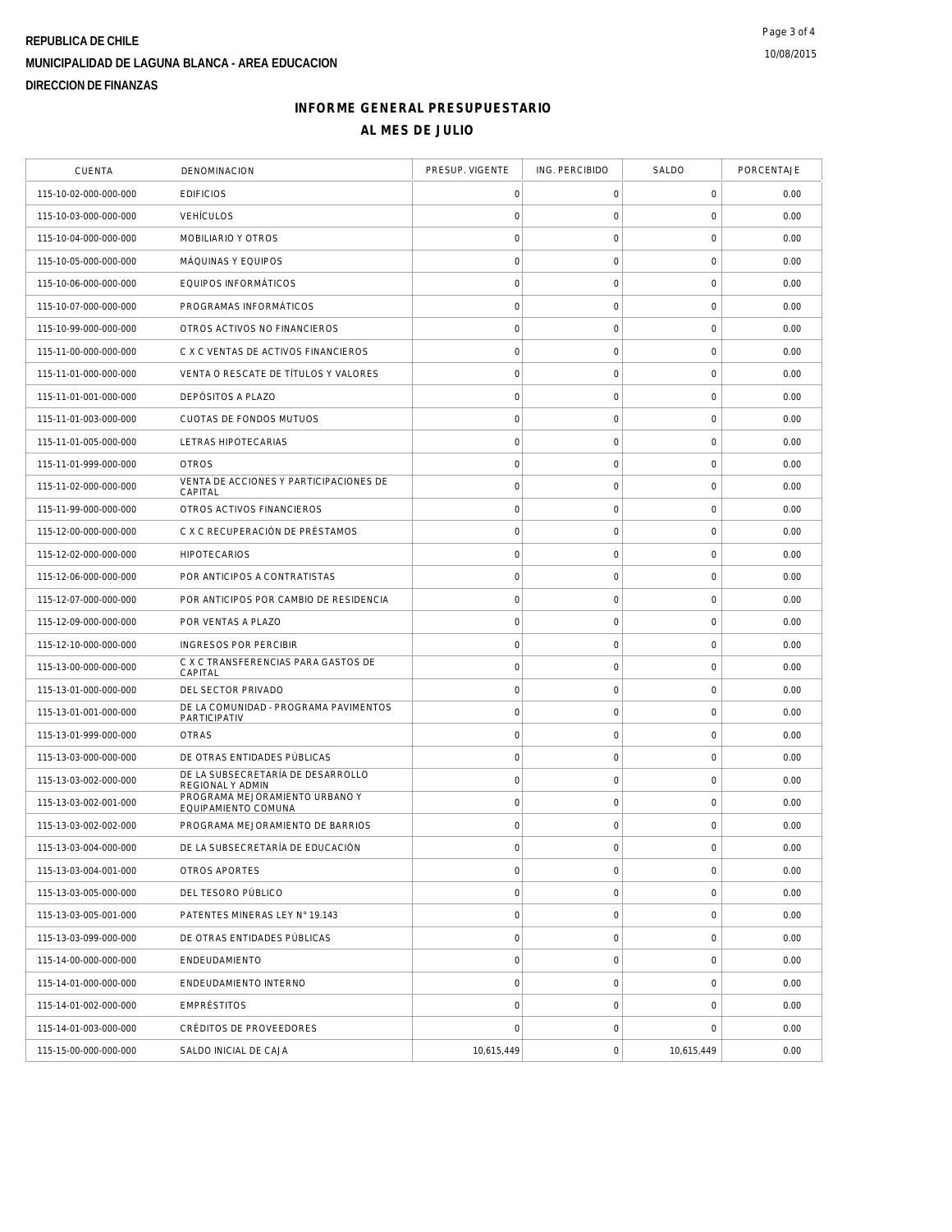### **REPUBLICA DE CHILE MUNICIPALIDAD DE LAGUNA BLANCA - AREA EDUCACION DIRECCION DE FINANZAS**

#### **INFORME GENERAL PRESUPUESTARIO AL MES DE JULIO**

| <b>CUENTA</b>         | DENOMINACION                                          | PRESUP. VIGENTE     | ING. PERCIBIDO      | SALDO               | PORCENTAJE |
|-----------------------|-------------------------------------------------------|---------------------|---------------------|---------------------|------------|
| 115-10-02-000-000-000 | <b>EDIFICIOS</b>                                      | 0                   | $\mathsf O$         | $\mathbf 0$         | 0.00       |
| 115-10-03-000-000-000 | <b>VEHÍCULOS</b>                                      | $\mathbf 0$         | $\mathsf{O}\xspace$ | $\mathbf 0$         | 0.00       |
| 115-10-04-000-000-000 | MOBILIARIO Y OTROS                                    | $\mathbf 0$         | $\mathsf{O}\xspace$ | $\mathbf 0$         | 0.00       |
| 115-10-05-000-000-000 | MÁQUINAS Y EQUIPOS                                    | $\mathbf 0$         | $\mathsf{O}\xspace$ | $\mathbf 0$         | 0.00       |
| 115-10-06-000-000-000 | EQUIPOS INFORMÁTICOS                                  | $\mathsf{O}\xspace$ | $\mathsf{O}\xspace$ | $\mathsf{O}\xspace$ | 0.00       |
| 115-10-07-000-000-000 | PROGRAMAS INFORMÁTICOS                                | $\mathbf 0$         | $\mathsf O$         | $\mathbf 0$         | 0.00       |
| 115-10-99-000-000-000 | OTROS ACTIVOS NO FINANCIEROS                          | $\mathsf{O}\xspace$ | $\mathsf{O}\xspace$ | $\mathbf 0$         | 0.00       |
| 115-11-00-000-000-000 | C X C VENTAS DE ACTIVOS FINANCIEROS                   | $\circ$             | $\mathsf{O}\xspace$ | $\mathbf 0$         | 0.00       |
| 115-11-01-000-000-000 | VENTA O RESCATE DE TÍTULOS Y VALORES                  | $\mathsf{O}\xspace$ | $\mathsf{O}\xspace$ | $\mathbf 0$         | 0.00       |
| 115-11-01-001-000-000 | DEPÓSITOS A PLAZO                                     | $\mathbf 0$         | $\mathsf{O}\xspace$ | $\mathbf 0$         | 0.00       |
| 115-11-01-003-000-000 | CUOTAS DE FONDOS MUTUOS                               | $\mathsf{O}\xspace$ | 0                   | 0                   | 0.00       |
| 115-11-01-005-000-000 | LETRAS HIPOTECARIAS                                   | $\mathsf{O}\xspace$ | $\mathsf{O}\xspace$ | $\mathbf 0$         | 0.00       |
| 115-11-01-999-000-000 | <b>OTROS</b>                                          | $\mathbf 0$         | $\mathsf{O}\xspace$ | $\mathbf 0$         | 0.00       |
| 115-11-02-000-000-000 | VENTA DE ACCIONES Y PARTICIPACIONES DE<br>CAPITAL     | $\circ$             | $\mathbf 0$         | $\mathbf 0$         | 0.00       |
| 115-11-99-000-000-000 | OTROS ACTIVOS FINANCIEROS                             | $\circ$             | $\mathsf{O}\xspace$ | $\mathbf 0$         | 0.00       |
| 115-12-00-000-000-000 | C X C RECUPERACIÓN DE PRÉSTAMOS                       | $\mathsf{O}\xspace$ | $\mathsf{O}\xspace$ | $\mathbf 0$         | 0.00       |
| 115-12-02-000-000-000 | <b>HIPOTECARIOS</b>                                   | $\mathsf{O}\xspace$ | $\mathsf O$         | $\mathsf{O}\xspace$ | 0.00       |
| 115-12-06-000-000-000 | POR ANTICIPOS A CONTRATISTAS                          | $\circ$             | $\mathsf O$         | $\mathbf 0$         | 0.00       |
| 115-12-07-000-000-000 | POR ANTICIPOS POR CAMBIO DE RESIDENCIA                | $\circ$             | $\mathsf{O}\xspace$ | $\mathbf 0$         | 0.00       |
| 115-12-09-000-000-000 | POR VENTAS A PLAZO                                    | $\circ$             | $\mathbf 0$         | $\mathbf 0$         | 0.00       |
| 115-12-10-000-000-000 | <b>INGRESOS POR PERCIBIR</b>                          | $\mathsf{O}\xspace$ | $\mathsf O$         | $\mathbf 0$         | 0.00       |
| 115-13-00-000-000-000 | C X C TRANSFERENCIAS PARA GASTOS DE<br>CAPITAL        | $\mathbf 0$         | $\mathsf{O}\xspace$ | $\mathbf 0$         | 0.00       |
| 115-13-01-000-000-000 | DEL SECTOR PRIVADO                                    | $\mathsf{O}\xspace$ | 0                   | 0                   | 0.00       |
| 115-13-01-001-000-000 | DE LA COMUNIDAD - PROGRAMA PAVIMENTOS<br>PARTICIPATIV | $\circ$             | $\mathsf{O}\xspace$ | $\mathbf 0$         | 0.00       |
| 115-13-01-999-000-000 | <b>OTRAS</b>                                          | $\mathbf 0$         | $\mathsf{O}\xspace$ | $\mathbf 0$         | 0.00       |
| 115-13-03-000-000-000 | DE OTRAS ENTIDADES PÚBLICAS                           | $\mathsf{O}\xspace$ | $\mathsf{O}\xspace$ | $\mathbf 0$         | 0.00       |
| 115-13-03-002-000-000 | DE LA SUBSECRETARÍA DE DESARROLLO<br>REGIONAL Y ADMIN | $\circ$             | $\mathsf{O}\xspace$ | $\mathbf 0$         | 0.00       |
| 115-13-03-002-001-000 | PROGRAMA MEJORAMIENTO URBANO Y<br>EQUIPAMIENTO COMUNA | $\mathbf 0$         | $\mathsf{O}\xspace$ | $\mathbf 0$         | 0.00       |
| 115-13-03-002-002-000 | PROGRAMA MEJORAMIENTO DE BARRIOS                      | $\mathbf 0$         | $\mathsf{O}\xspace$ | $\mathbf 0$         | 0.00       |
| 115-13-03-004-000-000 | DE LA SUBSECRETARÍA DE EDUCACIÓN                      | $\mathbf 0$         | $\mathsf{O}\xspace$ | $\mathbf 0$         | 0.00       |
| 115-13-03-004-001-000 | OTROS APORTES                                         | $\mathsf{O}\xspace$ | $\mathsf O$         | $\mathbf 0$         | 0.00       |
| 115-13-03-005-000-000 | DEL TESORO PÚBLICO                                    | $\mathsf{O}\xspace$ | $\mathsf O$         | $\mathbf 0$         | 0.00       |
| 115-13-03-005-001-000 | PATENTES MINERAS LEY N° 19.143                        | $\mathsf{O}\xspace$ | $\mathsf O$         | $\mathbf 0$         | 0.00       |
| 115-13-03-099-000-000 | DE OTRAS ENTIDADES PÚBLICAS                           | $\mathbf 0$         | $\boldsymbol{0}$    | $\mathsf{O}\xspace$ | 0.00       |
| 115-14-00-000-000-000 | ENDEUDAMIENTO                                         | $\mathsf{O}\xspace$ | 0                   | $\,0\,$             | 0.00       |
| 115-14-01-000-000-000 | ENDEUDAMIENTO INTERNO                                 | $\mathsf{O}\xspace$ | $\mathsf{O}\xspace$ | $\mathbf 0$         | 0.00       |
| 115-14-01-002-000-000 | EMPRÉSTITOS                                           | $\mathbf 0$         | $\mathsf O$         | $\mathbf 0$         | 0.00       |
| 115-14-01-003-000-000 | CRÉDITOS DE PROVEEDORES                               | 0                   | $\mathsf O$         | $\mathbf 0$         | 0.00       |
| 115-15-00-000-000-000 | SALDO INICIAL DE CAJA                                 | 10,615,449          | $\boldsymbol{0}$    | 10,615,449          | 0.00       |